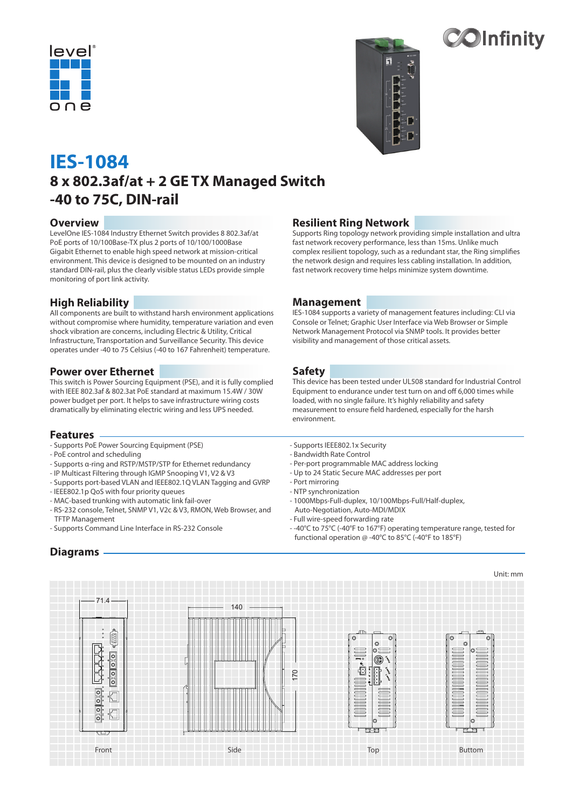



**20Infinity** 

# **IES-1084 8 x 802.3af/at + 2 GE TX Managed Switch -40 to 75C, DIN-rail**

#### **Overview**

LevelOne IES-1084 Industry Ethernet Switch provides 8 802.3af/at PoE ports of 10/100Base-TX plus 2 ports of 10/100/1000Base Gigabit Ethernet to enable high speed network at mission-critical environment. This device is designed to be mounted on an industry standard DIN-rail, plus the clearly visible status LEDs provide simple monitoring of port link activity.

#### **High Reliability**

All components are built to withstand harsh environment applications without compromise where humidity, temperature variation and even shock vibration are concerns, including Electric & Utility, Critical Infrastructure, Transportation and Surveillance Security. This device operates under -40 to 75 Celsius (-40 to 167 Fahrenheit) temperature.

#### **Power over Ethernet**

This switch is Power Sourcing Equipment (PSE), and it is fully complied with IEEE 802.3af & 802.3at PoE standard at maximum 15.4W / 30W power budget per port. It helps to save infrastructure wiring costs dramatically by eliminating electric wiring and less UPS needed.

#### **Features**

- Supports PoE Power Sourcing Equipment (PSE)
- PoE control and scheduling
- Supports α-ring and RSTP/MSTP/STP for Ethernet redundancy
- IP Multicast Filtering through IGMP Snooping V1, V2 & V3
- Supports port-based VLAN and IEEE802.1Q VLAN Tagging and GVRP
- IEEE802.1p QoS with four priority queues
- MAC-based trunking with automatic link fail-over
- RS-232 console, Telnet, SNMP V1, V2c & V3, RMON, Web Browser, and TFTP Management
- Supports Command Line Interface in RS-232 Console

### **Resilient Ring Network**

Supports Ring topology network providing simple installation and ultra fast network recovery performance, less than 15ms. Unlike much complex resilient topology, such as a redundant star, the Ring simplifies the network design and requires less cabling installation. In addition, fast network recovery time helps minimize system downtime.

#### **Management**

IES-1084 supports a variety of management features including: CLI via Console or Telnet; Graphic User Interface via Web Browser or Simple Network Management Protocol via SNMP tools. It provides better visibility and management of those critical assets.

#### **Safety**

This device has been tested under UL508 standard for Industrial Control Equipment to endurance under test turn on and off 6,000 times while loaded, with no single failure. It's highly reliability and safety measurement to ensure field hardened, especially for the harsh environment.

- Supports IEEE802.1x Security
- Bandwidth Rate Control
- Per-port programmable MAC address locking
- Up to 24 Static Secure MAC addresses per port
- Port mirroring
- NTP synchronization
- 1000Mbps-Full-duplex, 10/100Mbps-Full/Half-duplex,
- Auto-Negotiation, Auto-MDI/MDIX - Full wire-speed forwarding rate
- -40°C to 75°C (-40°F to 167°F) operating temperature range, tested for functional operation @ -40°C to 85°C (-40°F to 185°F)



# **Diagrams**